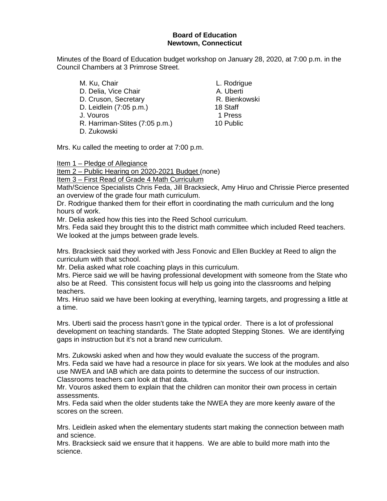## **Board of Education Newtown, Connecticut**

Minutes of the Board of Education budget workshop on January 28, 2020, at 7:00 p.m. in the Council Chambers at 3 Primrose Street.

M. Ku, Chair **L. Rodrigue** D. Delia, Vice Chair **A. Uberti** D. Cruson, Secretary **R. Bienkowski**<br>D. Leidlein (7:05 p.m.) 68 and 18 Staff D. Leidlein (7:05 p.m.) J. Vouros 1 Press R. Harriman-Stites (7:05 p.m.) 10 Public D. Zukowski

Mrs. Ku called the meeting to order at 7:00 p.m.

Item 1 – Pledge of Allegiance

Item 2 – Public Hearing on 2020-2021 Budget (none)

Item 3 – First Read of Grade 4 Math Curriculum

Math/Science Specialists Chris Feda, Jill Bracksieck, Amy Hiruo and Chrissie Pierce presented an overview of the grade four math curriculum.

Dr. Rodrigue thanked them for their effort in coordinating the math curriculum and the long hours of work.

Mr. Delia asked how this ties into the Reed School curriculum.

Mrs. Feda said they brought this to the district math committee which included Reed teachers. We looked at the jumps between grade levels.

Mrs. Bracksieck said they worked with Jess Fonovic and Ellen Buckley at Reed to align the curriculum with that school.

Mr. Delia asked what role coaching plays in this curriculum.

Mrs. Pierce said we will be having professional development with someone from the State who also be at Reed. This consistent focus will help us going into the classrooms and helping teachers.

Mrs. Hiruo said we have been looking at everything, learning targets, and progressing a little at a time.

Mrs. Uberti said the process hasn't gone in the typical order. There is a lot of professional development on teaching standards. The State adopted Stepping Stones. We are identifying gaps in instruction but it's not a brand new curriculum.

Mrs. Zukowski asked when and how they would evaluate the success of the program. Mrs. Feda said we have had a resource in place for six years. We look at the modules and also use NWEA and IAB which are data points to determine the success of our instruction. Classrooms teachers can look at that data.

Mr. Vouros asked them to explain that the children can monitor their own process in certain assessments.

Mrs. Feda said when the older students take the NWEA they are more keenly aware of the scores on the screen.

Mrs. Leidlein asked when the elementary students start making the connection between math and science.

Mrs. Bracksieck said we ensure that it happens. We are able to build more math into the science.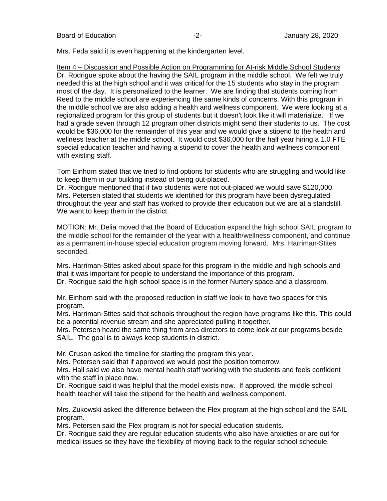Mrs. Feda said it is even happening at the kindergarten level.

Item 4 – Discussion and Possible Action on Programming for At-risk Middle School Students Dr. Rodrigue spoke about the having the SAIL program in the middle school. We felt we truly needed this at the high school and it was critical for the 15 students who stay in the program most of the day. It is personalized to the learner. We are finding that students coming from Reed to the middle school are experiencing the same kinds of concerns. With this program in the middle school we are also adding a health and wellness component. We were looking at a regionalized program for this group of students but it doesn't look like it will materialize. If we had a grade seven through 12 program other districts might send their students to us. The cost would be \$36,000 for the remainder of this year and we would give a stipend to the health and wellness teacher at the middle school. It would cost \$36,000 for the half year hiring a 1.0 FTE special education teacher and having a stipend to cover the health and wellness component with existing staff.

Tom Einhorn stated that we tried to find options for students who are struggling and would like to keep them in our building instead of being out-placed.

Dr. Rodrigue mentioned that if two students were not out-placed we would save \$120,000. Mrs. Petersen stated that students we identified for this program have been dysregulated throughout the year and staff has worked to provide their education but we are at a standstill. We want to keep them in the district.

MOTION: Mr. Delia moved that the Board of Education expand the high school SAIL program to the middle school for the remainder of the year with a health/wellness component, and continue as a permanent in-house special education program moving forward. Mrs. Harriman-Stites seconded.

Mrs. Harriman-Stites asked about space for this program in the middle and high schools and that it was important for people to understand the importance of this program. Dr. Rodrigue said the high school space is in the former Nurtery space and a classroom.

Mr. Einhorn said with the proposed reduction in staff we look to have two spaces for this program.

Mrs. Harriman-Stites said that schools throughout the region have programs like this. This could be a potential revenue stream and she appreciated pulling it together.

Mrs. Petersen heard the same thing from area directors to come look at our programs beside SAIL. The goal is to always keep students in district.

Mr. Cruson asked the timeline for starting the program this year.

Mrs. Petersen said that if approved we would post the position tomorrow.

Mrs. Hall said we also have mental health staff working with the students and feels confident with the staff in place now.

Dr. Rodrigue said it was helpful that the model exists now. If approved, the middle school health teacher will take the stipend for the health and wellness component.

Mrs. Zukowski asked the difference between the Flex program at the high school and the SAIL program.

Mrs. Petersen said the Flex program is not for special education students.

Dr. Rodrigue said they are regular education students who also have anxieties or are out for medical issues so they have the flexibility of moving back to the regular school schedule.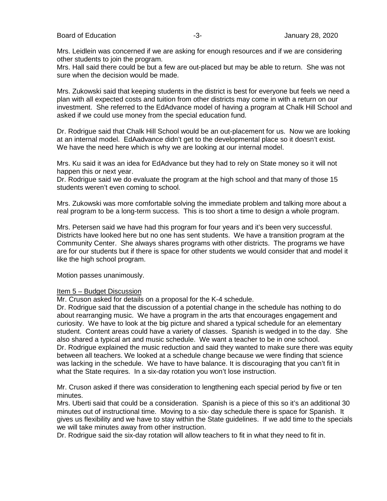Mrs. Leidlein was concerned if we are asking for enough resources and if we are considering other students to join the program.

Mrs. Hall said there could be but a few are out-placed but may be able to return. She was not sure when the decision would be made.

Mrs. Zukowski said that keeping students in the district is best for everyone but feels we need a plan with all expected costs and tuition from other districts may come in with a return on our investment. She referred to the EdAdvance model of having a program at Chalk Hill School and asked if we could use money from the special education fund.

Dr. Rodrigue said that Chalk Hill School would be an out-placement for us. Now we are looking at an internal model. EdAadvance didn't get to the developmental place so it doesn't exist. We have the need here which is why we are looking at our internal model.

Mrs. Ku said it was an idea for EdAdvance but they had to rely on State money so it will not happen this or next year.

Dr. Rodrigue said we do evaluate the program at the high school and that many of those 15 students weren't even coming to school.

Mrs. Zukowski was more comfortable solving the immediate problem and talking more about a real program to be a long-term success. This is too short a time to design a whole program.

Mrs. Petersen said we have had this program for four years and it's been very successful. Districts have looked here but no one has sent students. We have a transition program at the Community Center. She always shares programs with other districts. The programs we have are for our students but if there is space for other students we would consider that and model it like the high school program.

Motion passes unanimously.

#### Item 5 – Budget Discussion

Mr. Cruson asked for details on a proposal for the K-4 schedule.

Dr. Rodrigue said that the discussion of a potential change in the schedule has nothing to do about rearranging music. We have a program in the arts that encourages engagement and curiosity. We have to look at the big picture and shared a typical schedule for an elementary student. Content areas could have a variety of classes. Spanish is wedged in to the day. She also shared a typical art and music schedule. We want a teacher to be in one school. Dr. Rodrigue explained the music reduction and said they wanted to make sure there was equity between all teachers. We looked at a schedule change because we were finding that science was lacking in the schedule. We have to have balance. It is discouraging that you can't fit in what the State requires. In a six-day rotation you won't lose instruction.

Mr. Cruson asked if there was consideration to lengthening each special period by five or ten minutes.

Mrs. Uberti said that could be a consideration. Spanish is a piece of this so it's an additional 30 minutes out of instructional time. Moving to a six- day schedule there is space for Spanish. It gives us flexibility and we have to stay within the State guidelines. If we add time to the specials we will take minutes away from other instruction.

Dr. Rodrigue said the six-day rotation will allow teachers to fit in what they need to fit in.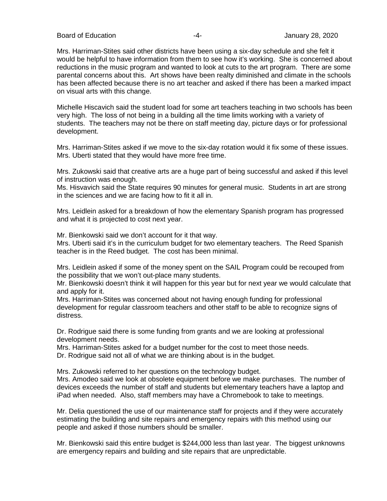Board of Education **-4-** Figure 28, 2020 **-4-** All and January 28, 2020

Mrs. Harriman-Stites said other districts have been using a six-day schedule and she felt it would be helpful to have information from them to see how it's working. She is concerned about reductions in the music program and wanted to look at cuts to the art program. There are some parental concerns about this. Art shows have been realty diminished and climate in the schools has been affected because there is no art teacher and asked if there has been a marked impact on visual arts with this change.

Michelle Hiscavich said the student load for some art teachers teaching in two schools has been very high. The loss of not being in a building all the time limits working with a variety of students. The teachers may not be there on staff meeting day, picture days or for professional development.

Mrs. Harriman-Stites asked if we move to the six-day rotation would it fix some of these issues. Mrs. Uberti stated that they would have more free time.

Mrs. Zukowski said that creative arts are a huge part of being successful and asked if this level of instruction was enough.

Ms. Hisvavich said the State requires 90 minutes for general music. Students in art are strong in the sciences and we are facing how to fit it all in.

Mrs. Leidlein asked for a breakdown of how the elementary Spanish program has progressed and what it is projected to cost next year.

Mr. Bienkowski said we don't account for it that way.

Mrs. Uberti said it's in the curriculum budget for two elementary teachers. The Reed Spanish teacher is in the Reed budget. The cost has been minimal.

Mrs. Leidlein asked if some of the money spent on the SAIL Program could be recouped from the possibility that we won't out-place many students.

Mr. Bienkowski doesn't think it will happen for this year but for next year we would calculate that and apply for it.

Mrs. Harriman-Stites was concerned about not having enough funding for professional development for regular classroom teachers and other staff to be able to recognize signs of distress.

Dr. Rodrigue said there is some funding from grants and we are looking at professional development needs.

Mrs. Harriman-Stites asked for a budget number for the cost to meet those needs. Dr. Rodrigue said not all of what we are thinking about is in the budget.

Mrs. Zukowski referred to her questions on the technology budget.

Mrs. Amodeo said we look at obsolete equipment before we make purchases. The number of devices exceeds the number of staff and students but elementary teachers have a laptop and iPad when needed. Also, staff members may have a Chromebook to take to meetings.

Mr. Delia questioned the use of our maintenance staff for projects and if they were accurately estimating the building and site repairs and emergency repairs with this method using our people and asked if those numbers should be smaller.

Mr. Bienkowski said this entire budget is \$244,000 less than last year. The biggest unknowns are emergency repairs and building and site repairs that are unpredictable.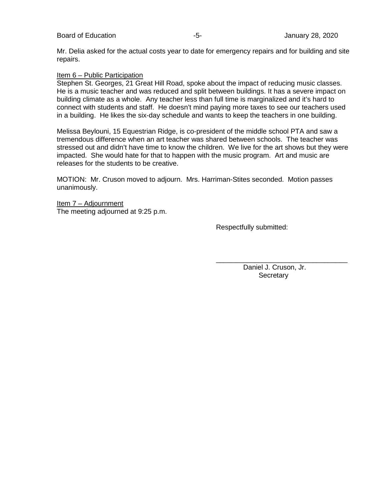Mr. Delia asked for the actual costs year to date for emergency repairs and for building and site repairs.

### Item 6 – Public Participation

Stephen St. Georges, 21 Great Hill Road, spoke about the impact of reducing music classes. He is a music teacher and was reduced and split between buildings. It has a severe impact on building climate as a whole. Any teacher less than full time is marginalized and it's hard to connect with students and staff. He doesn't mind paying more taxes to see our teachers used in a building. He likes the six-day schedule and wants to keep the teachers in one building.

Melissa Beylouni, 15 Equestrian Ridge, is co-president of the middle school PTA and saw a tremendous difference when an art teacher was shared between schools. The teacher was stressed out and didn't have time to know the children. We live for the art shows but they were impacted. She would hate for that to happen with the music program. Art and music are releases for the students to be creative.

MOTION: Mr. Cruson moved to adjourn. Mrs. Harriman-Stites seconded. Motion passes unanimously.

Item 7 – Adjournment The meeting adjourned at 9:25 p.m.

Respectfully submitted:

 Daniel J. Cruson, Jr. **Secretary** 

\_\_\_\_\_\_\_\_\_\_\_\_\_\_\_\_\_\_\_\_\_\_\_\_\_\_\_\_\_\_\_\_\_\_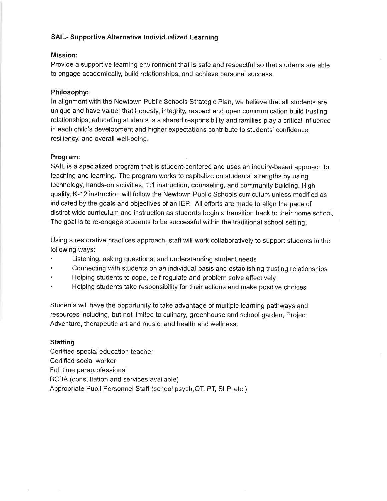## **SAIL- Supportive Alternative Individualized Learning**

### Mission:

Provide a supportive learning environment that is safe and respectful so that students are able to engage academically, build relationships, and achieve personal success.

## Philosophy:

In alignment with the Newtown Public Schools Strategic Plan, we believe that all students are unique and have value; that honesty, integrity, respect and open communication build trusting relationships; educating students is a shared responsibility and families play a critical influence in each child's development and higher expectations contribute to students' confidence. resiliency, and overall well-being.

#### Program:

SAIL is a specialized program that is student-centered and uses an inquiry-based approach to teaching and learning. The program works to capitalize on students' strengths by using technology, hands-on activities, 1:1 instruction, counseling, and community building. High quality, K-12 instruction will follow the Newtown Public Schools curriculum unless modified as indicated by the goals and objectives of an IEP. All efforts are made to align the pace of distirct-wide curriculum and instruction as students begin a transition back to their home school. The goal is to re-engage students to be successful within the traditional school setting.

Using a restorative practices approach, staff will work collaboratively to support students in the following ways:

- $\bullet$ Listening, asking questions, and understanding student needs
- Connecting with students on an individual basis and establishing trusting relationships
- Helping students to cope, self-regulate and problem solve effectively
- Helping students take responsibility for their actions and make positive choices

Students will have the opportunity to take advantage of multiple learning pathways and resources including, but not limited to culinary, greenhouse and school garden, Project Adventure, therapeutic art and music, and health and wellness.

## **Staffing**

Certified special education teacher Certified social worker Full time paraprofessional BCBA (consultation and services available) Appropriate Pupil Personnel Staff (school psych, OT, PT, SLP, etc.)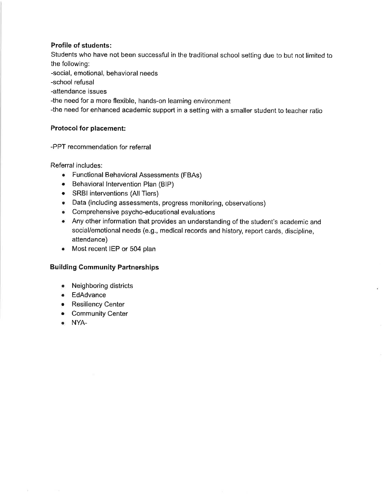## **Profile of students:**

Students who have not been successful in the traditional school setting due to but not limited to the following: -social, emotional, behavioral needs -school refusal -attendance issues -the need for a more flexible, hands-on learning environment -the need for enhanced academic support in a setting with a smaller student to teacher ratio

# **Protocol for placement:**

# -PPT recommendation for referral

Referral includes:

- Functional Behavioral Assessments (FBAs)
- Behavioral Intervention Plan (BIP)
- SRBI interventions (All Tiers)
- Data (including assessments, progress monitoring, observations)
- Comprehensive psycho-educational evaluations
- Any other information that provides an understanding of the student's academic and social/emotional needs (e.g., medical records and history, report cards, discipline, attendance)
- Most recent IEP or 504 plan

# **Building Community Partnerships**

- Neighboring districts
- EdAdvance
- Resiliency Center
- Community Center
- · NYA-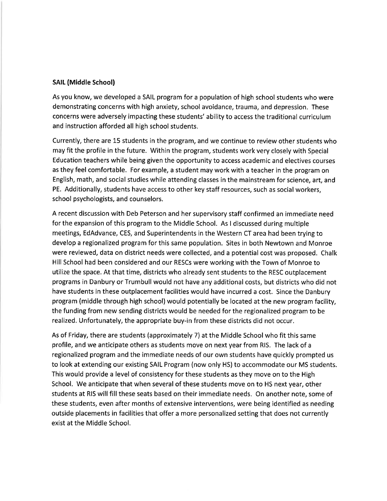#### **SAIL (Middle School)**

As you know, we developed a SAIL program for a population of high school students who were demonstrating concerns with high anxiety, school avoidance, trauma, and depression. These concerns were adversely impacting these students' ability to access the traditional curriculum and instruction afforded all high school students.

Currently, there are 15 students in the program, and we continue to review other students who may fit the profile in the future. Within the program, students work very closely with Special Education teachers while being given the opportunity to access academic and electives courses as they feel comfortable. For example, a student may work with a teacher in the program on English, math, and social studies while attending classes in the mainstream for science, art, and PE. Additionally, students have access to other key staff resources, such as social workers, school psychologists, and counselors.

A recent discussion with Deb Peterson and her supervisory staff confirmed an immediate need for the expansion of this program to the Middle School. As I discussed during multiple meetings, EdAdvance, CES, and Superintendents in the Western CT area had been trying to develop a regionalized program for this same population. Sites in both Newtown and Monroe were reviewed, data on district needs were collected, and a potential cost was proposed. Chalk Hill School had been considered and our RESCs were working with the Town of Monroe to utilize the space. At that time, districts who already sent students to the RESC outplacement programs in Danbury or Trumbull would not have any additional costs, but districts who did not have students in these outplacement facilities would have incurred a cost. Since the Danbury program (middle through high school) would potentially be located at the new program facility, the funding from new sending districts would be needed for the regionalized program to be realized. Unfortunately, the appropriate buy-in from these districts did not occur.

As of Friday, there are students (approximately 7) at the Middle School who fit this same profile, and we anticipate others as students move on next year from RIS. The lack of a regionalized program and the immediate needs of our own students have quickly prompted us to look at extending our existing SAIL Program (now only HS) to accommodate our MS students. This would provide a level of consistency for these students as they move on to the High School. We anticipate that when several of these students move on to HS next year, other students at RIS will fill these seats based on their immediate needs. On another note, some of these students, even after months of extensive interventions, were being identified as needing outside placements in facilities that offer a more personalized setting that does not currently exist at the Middle School.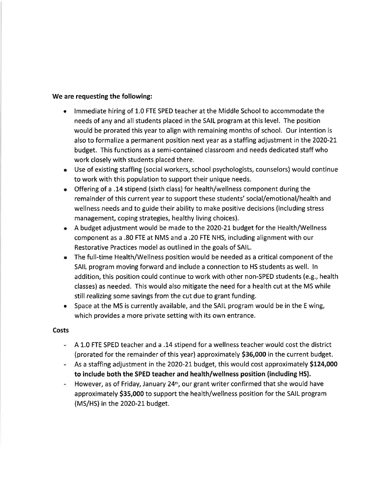## We are requesting the following:

- Immediate hiring of 1.0 FTE SPED teacher at the Middle School to accommodate the needs of any and all students placed in the SAIL program at this level. The position would be prorated this year to align with remaining months of school. Our intention is also to formalize a permanent position next year as a staffing adjustment in the 2020-21 budget. This functions as a semi-contained classroom and needs dedicated staff who work closely with students placed there.
- Use of existing staffing (social workers, school psychologists, counselors) would continue to work with this population to support their unique needs.
- Offering of a .14 stipend (sixth class) for health/wellness component during the remainder of this current year to support these students' social/emotional/health and wellness needs and to guide their ability to make positive decisions (including stress management, coping strategies, healthy living choices).
- A budget adjustment would be made to the 2020-21 budget for the Health/Wellness component as a .80 FTE at NMS and a .20 FTE NHS, including alignment with our Restorative Practices model as outlined in the goals of SAIL.
- The full-time Health/Wellness position would be needed as a critical component of the SAIL program moving forward and include a connection to HS students as well. In addition, this position could continue to work with other non-SPED students (e.g., health classes) as needed. This would also mitigate the need for a health cut at the MS while still realizing some savings from the cut due to grant funding.
- Space at the MS is currently available, and the SAIL program would be in the E wing, which provides a more private setting with its own entrance.

## **Costs**

- A 1.0 FTE SPED teacher and a .14 stipend for a wellness teacher would cost the district (prorated for the remainder of this year) approximately \$36,000 in the current budget.
- As a staffing adjustment in the 2020-21 budget, this would cost approximately \$124,000 to include both the SPED teacher and health/wellness position (including HS).
- However, as of Friday, January 24<sup>th</sup>, our grant writer confirmed that she would have approximately \$35,000 to support the health/wellness position for the SAIL program (MS/HS) in the 2020-21 budget.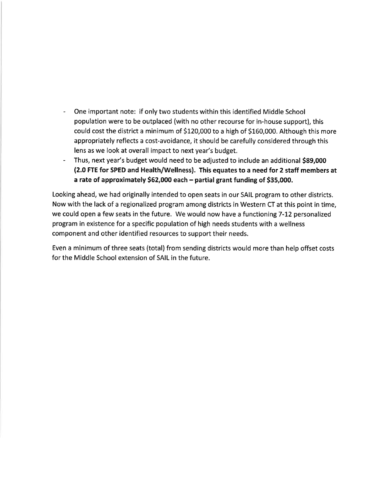- One important note: if only two students within this identified Middle School population were to be outplaced (with no other recourse for in-house support), this could cost the district a minimum of \$120,000 to a high of \$160,000. Although this more appropriately reflects a cost-avoidance, it should be carefully considered through this lens as we look at overall impact to next year's budget.
- Thus, next year's budget would need to be adjusted to include an additional \$89,000 (2.0 FTE for SPED and Health/Wellness). This equates to a need for 2 staff members at a rate of approximately \$62,000 each - partial grant funding of \$35,000.

Looking ahead, we had originally intended to open seats in our SAIL program to other districts. Now with the lack of a regionalized program among districts in Western CT at this point in time, we could open a few seats in the future. We would now have a functioning 7-12 personalized program in existence for a specific population of high needs students with a wellness component and other identified resources to support their needs.

Even a minimum of three seats (total) from sending districts would more than help offset costs for the Middle School extension of SAIL in the future.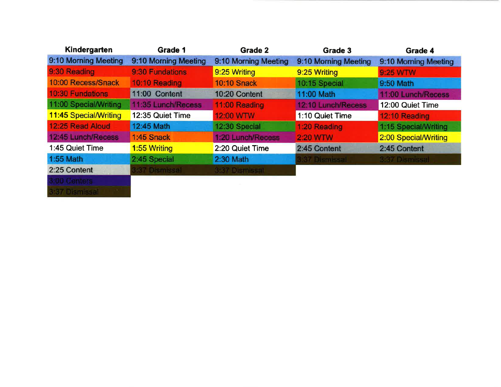| Kindergarten                 | <b>Grade 1</b>       | <b>Grade 2</b>       | Grade 3              | Grade 4              |
|------------------------------|----------------------|----------------------|----------------------|----------------------|
| 9:10 Morning Meeting         | 9:10 Morning Meeting | 9:10 Morning Meeting | 9:10 Morning Meeting | 9:10 Morning Meeting |
| 9:30 Reading                 | 9:30 Fundations      | 9:25 Writing         | 9:25 Writing         | 9:25 WTW             |
| 10:00 Recess/Snack           | 10:10 Reading        | <b>10:10 Snack</b>   | 10:15 Special        | 9:50 Math            |
| <b>10:30 Fundations</b>      | 11:00 Content        | 10:20 Content        | 11:00 Math           | 11:00 Lunch/Recess   |
| 11:00 Special/Writing        | 11:35 Lunch/Recess   | 11:00 Reading        | 12:10 Lunch/Recess   | 12:00 Quiet Time     |
| <b>11:45 Special/Writing</b> | 12:35 Quiet Time     | 12:00 WTW            | 1:10 Quiet Time      | 12:10 Reading        |
| 12:25 Read Aloud             | 12:45 Math           | 12:30 Special        | 1:20 Reading         | 1:15 Special/Writing |
| 12:45 Lunch/Recess           | 1:45 Snack           | 1:20 Lunch/Recess    | <b>2:20 WTW</b>      | 2:00 Special/Writing |
| 1:45 Quiet Time              | <b>1.55 Writing</b>  | 2:20 Quiet Time      | 2:45 Content         | 2:45 Content         |
| 1:55 Math                    | 2:45 Special         | 2:30 Math            | t:37 Dismissal       | 3:37 Dismissal       |
| 2:25 Content                 | <b>837 Dismissal</b> | 3:37 Dismissal       |                      |                      |
| 3:00 Centers                 |                      |                      |                      |                      |
| 3:37 Dismissal               |                      |                      |                      |                      |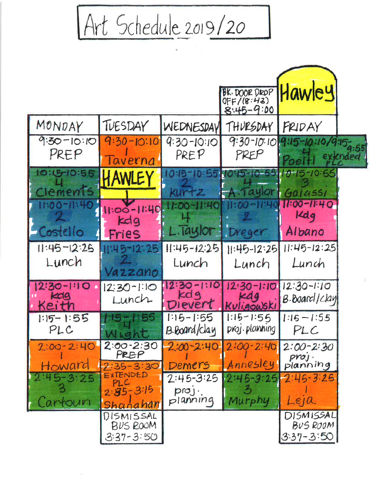Art Schedule 2019/20